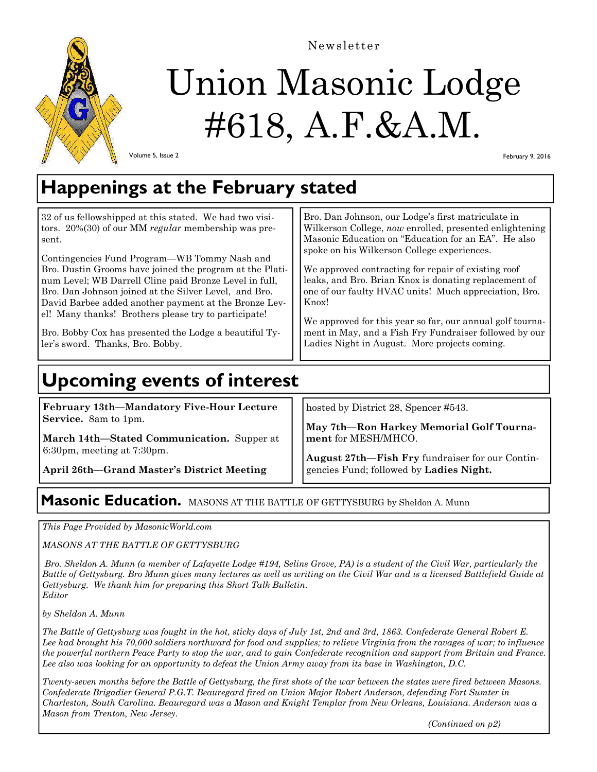

Newsletter

# Union Masonic Lodge #618, A.F.&A.M.

Volume 5, Issue 2

February 9, 2016

# **Happenings at the February stated**

| Masonic Education on "Education for an EA". He also<br>sent.<br>spoke on his Wilkerson College experiences.<br>Contingencies Fund Program—WB Tommy Nash and<br>We approved contracting for repair of existing roof<br>Bro. Dustin Grooms have joined the program at the Plati-<br>leaks, and Bro. Brian Knox is donating replacement of<br>num Level; WB Darrell Cline paid Bronze Level in full,<br>one of our faulty HVAC units! Much appreciation, Bro.<br>Bro. Dan Johnson joined at the Silver Level, and Bro.<br>David Barbee added another payment at the Bronze Lev-<br>Knox!<br>el! Many thanks! Brothers please try to participate!<br>We approved for this year so far, our annual golf tourna-<br>ment in May, and a Fish Fry Fundraiser followed by our<br>Bro. Bobby Cox has presented the Lodge a beautiful Ty-<br>Ladies Night in August. More projects coming.<br>ler's sword. Thanks, Bro. Bobby. |
|---------------------------------------------------------------------------------------------------------------------------------------------------------------------------------------------------------------------------------------------------------------------------------------------------------------------------------------------------------------------------------------------------------------------------------------------------------------------------------------------------------------------------------------------------------------------------------------------------------------------------------------------------------------------------------------------------------------------------------------------------------------------------------------------------------------------------------------------------------------------------------------------------------------------|
|---------------------------------------------------------------------------------------------------------------------------------------------------------------------------------------------------------------------------------------------------------------------------------------------------------------------------------------------------------------------------------------------------------------------------------------------------------------------------------------------------------------------------------------------------------------------------------------------------------------------------------------------------------------------------------------------------------------------------------------------------------------------------------------------------------------------------------------------------------------------------------------------------------------------|

# **Upcoming events of interest**

**February 13th—Mandatory Five-Hour Lecture Service.** 8am to 1pm.

**March 14th—Stated Communication.** Supper at 6:30pm, meeting at 7:30pm.

**April 26th—Grand Master's District Meeting** 

hosted by District 28, Spencer #543.

**May 7th—Ron Harkey Memorial Golf Tournament** for MESH/MHCO.

**August 27th—Fish Fry** fundraiser for our Contingencies Fund; followed by **Ladies Night.** 

# **Masonic Education.** MASONS AT THE BATTLE OF GETTYSBURG by Sheldon A. Munn

*This Page Provided by MasonicWorld.com* 

*MASONS AT THE BATTLE OF GETTYSBURG* 

 *Bro. Sheldon A. Munn (a member of Lafayette Lodge #194, Selins Grove, PA) is a student of the Civil War, particularly the Battle of Gettysburg. Bro Munn gives many lectures as well as writing on the Civil War and is a licensed Battlefield Guide at Gettysburg. We thank him for preparing this Short Talk Bulletin. Editor* 

*by Sheldon A. Munn* 

*The Battle of Gettysburg was fought in the hot, sticky days of July 1st, 2nd and 3rd, 1863. Confederate General Robert E. Lee had brought his 70,000 soldiers northward for food and supplies; to relieve Virginia from the ravages of war; to influence the powerful northern Peace Party to stop the war, and to gain Confederate recognition and support from Britain and France. Lee also was looking for an opportunity to defeat the Union Army away from its base in Washington, D.C.* 

*Twenty-seven months before the Battle of Gettysburg, the first shots of the war between the states were fired between Masons. Confederate Brigadier General P.G.T. Beauregard fired on Union Major Robert Anderson, defending Fort Sumter in Charleston, South Carolina. Beauregard was a Mason and Knight Templar from New Orleans, Louisiana. Anderson was a Mason from Trenton, New Jersey.* 

 *(Continued on p2)*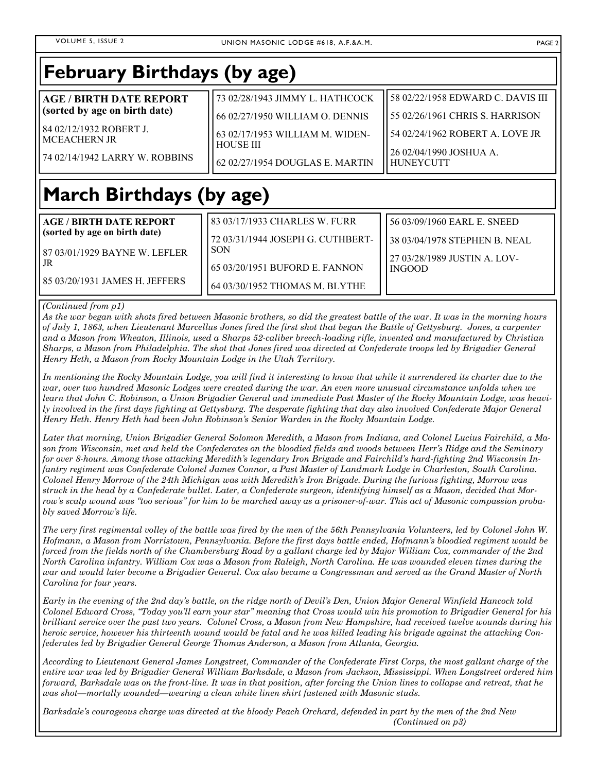#### **March Birthdays (by age) AGE / BIRTH DATE REPORT (sorted by age on birth date)**  87 03/01/1929 BAYNE W. LEFLER JR 85 03/20/1931 JAMES H. JEFFERS 83 03/17/1933 CHARLES W. FURR 72 03/31/1944 JOSEPH G. CUTHBERT-SON 65 03/20/1951 BUFORD E. FANNON 64 03/30/1952 THOMAS M. BLYTHE 56 03/09/1960 EARL E. SNEED 38 03/04/1978 STEPHEN B. NEAL 27 03/28/1989 JUSTIN A. LOV-INGOOD **February Birthdays (by age) AGE / BIRTH DATE REPORT (sorted by age on birth date)**  84 02/12/1932 ROBERT J. MCEACHERN JR 74 02/14/1942 LARRY W. ROBBINS 73 02/28/1943 JIMMY L. HATHCOCK 66 02/27/1950 WILLIAM O. DENNIS 63 02/17/1953 WILLIAM M. WIDEN-HOUSE III 62 02/27/1954 DOUGLAS E. MARTIN 58 02/22/1958 EDWARD C. DAVIS III 55 02/26/1961 CHRIS S. HARRISON 54 02/24/1962 ROBERT A. LOVE JR 26 02/04/1990 JOSHUA A. HUNEYCUTT

### *(Continued from p1)*

*As the war began with shots fired between Masonic brothers, so did the greatest battle of the war. It was in the morning hours of July 1, 1863, when Lieutenant Marcellus Jones fired the first shot that began the Battle of Gettysburg. Jones, a carpenter and a Mason from Wheaton, Illinois, used a Sharps 52-caliber breech-loading rifle, invented and manufactured by Christian Sharps, a Mason from Philadelphia. The shot that Jones fired was directed at Confederate troops led by Brigadier General Henry Heth, a Mason from Rocky Mountain Lodge in the Utah Territory.* 

*In mentioning the Rocky Mountain Lodge, you will find it interesting to know that while it surrendered its charter due to the war, over two hundred Masonic Lodges were created during the war. An even more unusual circumstance unfolds when we learn that John C. Robinson, a Union Brigadier General and immediate Past Master of the Rocky Mountain Lodge, was heavily involved in the first days fighting at Gettysburg. The desperate fighting that day also involved Confederate Major General Henry Heth. Henry Heth had been John Robinson's Senior Warden in the Rocky Mountain Lodge.* 

*Later that morning, Union Brigadier General Solomon Meredith, a Mason from Indiana, and Colonel Lucius Fairchild, a Mason from Wisconsin, met and held the Confederates on the bloodied fields and woods between Herr's Ridge and the Seminary for over 8-hours. Among those attacking Meredith's legendary Iron Brigade and Fairchild's hard-fighting 2nd Wisconsin Infantry regiment was Confederate Colonel James Connor, a Past Master of Landmark Lodge in Charleston, South Carolina. Colonel Henry Morrow of the 24th Michigan was with Meredith's Iron Brigade. During the furious fighting, Morrow was struck in the head by a Confederate bullet. Later, a Confederate surgeon, identifying himself as a Mason, decided that Morrow's scalp wound was "too serious" for him to be marched away as a prisoner-of-war. This act of Masonic compassion probably saved Morrow's life.* 

*The very first regimental volley of the battle was fired by the men of the 56th Pennsylvania Volunteers, led by Colonel John W. Hofmann, a Mason from Norristown, Pennsylvania. Before the first days battle ended, Hofmann's bloodied regiment would be forced from the fields north of the Chambersburg Road by a gallant charge led by Major William Cox, commander of the 2nd North Carolina infantry. William Cox was a Mason from Raleigh, North Carolina. He was wounded eleven times during the war and would later become a Brigadier General. Cox also became a Congressman and served as the Grand Master of North Carolina for four years.* 

*Early in the evening of the 2nd day's battle, on the ridge north of Devil's Den, Union Major General Winfield Hancock told Colonel Edward Cross, "Today you'll earn your star" meaning that Cross would win his promotion to Brigadier General for his brilliant service over the past two years. Colonel Cross, a Mason from New Hampshire, had received twelve wounds during his heroic service, however his thirteenth wound would be fatal and he was killed leading his brigade against the attacking Confederates led by Brigadier General George Thomas Anderson, a Mason from Atlanta, Georgia.* 

*According to Lieutenant General James Longstreet, Commander of the Confederate First Corps, the most gallant charge of the entire war was led by Brigadier General William Barksdale, a Mason from Jackson, Mississippi. When Longstreet ordered him forward, Barksdale was on the front-line. It was in that position, after forcing the Union lines to collapse and retreat, that he was shot—mortally wounded—wearing a clean white linen shirt fastened with Masonic studs.* 

*Barksdale's courageous charge was directed at the bloody Peach Orchard, defended in part by the men of the 2nd New (Continued on p3)*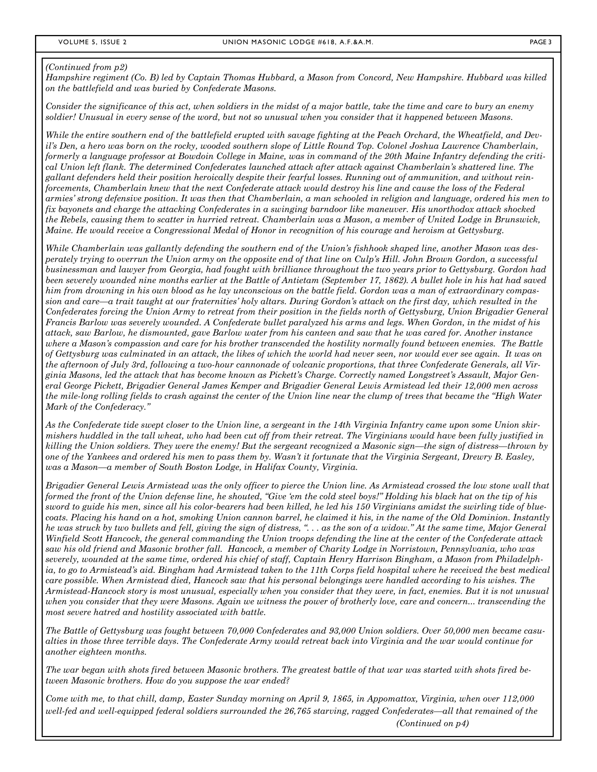### *(Continued from p2)*

*Hampshire regiment (Co. B) led by Captain Thomas Hubbard, a Mason from Concord, New Hampshire. Hubbard was killed on the battlefield and was buried by Confederate Masons.* 

*Consider the significance of this act, when soldiers in the midst of a major battle, take the time and care to bury an enemy soldier! Unusual in every sense of the word, but not so unusual when you consider that it happened between Masons.* 

*While the entire southern end of the battlefield erupted with savage fighting at the Peach Orchard, the Wheatfield, and Devil's Den, a hero was born on the rocky, wooded southern slope of Little Round Top. Colonel Joshua Lawrence Chamberlain, formerly a language professor at Bowdoin College in Maine, was in command of the 20th Maine Infantry defending the critical Union left flank. The determined Confederates launched attack after attack against Chamberlain's shattered line. The gallant defenders held their position heroically despite their fearful losses. Running out of ammunition, and without reinforcements, Chamberlain knew that the next Confederate attack would destroy his line and cause the loss of the Federal armies' strong defensive position. It was then that Chamberlain, a man schooled in religion and language, ordered his men to fix bayonets and charge the attacking Confederates in a swinging barndoor like maneuver. His unorthodox attack shocked the Rebels, causing them to scatter in hurried retreat. Chamberlain was a Mason, a member of United Lodge in Brunswick, Maine. He would receive a Congressional Medal of Honor in recognition of his courage and heroism at Gettysburg.* 

*While Chamberlain was gallantly defending the southern end of the Union's fishhook shaped line, another Mason was desperately trying to overrun the Union army on the opposite end of that line on Culp's Hill. John Brown Gordon, a successful businessman and lawyer from Georgia, had fought with brilliance throughout the two years prior to Gettysburg. Gordon had been severely wounded nine months earlier at the Battle of Antietam (September 17, 1862). A bullet hole in his hat had saved him from drowning in his own blood as he lay unconscious on the battle field. Gordon was a man of extraordinary compassion and care—a trait taught at our fraternities' holy altars. During Gordon's attack on the first day, which resulted in the Confederates forcing the Union Army to retreat from their position in the fields north of Gettysburg, Union Brigadier General Francis Barlow was severely wounded. A Confederate bullet paralyzed his arms and legs. When Gordon, in the midst of his attack, saw Barlow, he dismounted, gave Barlow water from his canteen and saw that he was cared for. Another instance where a Mason's compassion and care for his brother transcended the hostility normally found between enemies. The Battle of Gettysburg was culminated in an attack, the likes of which the world had never seen, nor would ever see again. It was on the afternoon of July 3rd, following a two-hour cannonade of volcanic proportions, that three Confederate Generals, all Virginia Masons, led the attack that has become known as Pickett's Charge. Correctly named Longstreet's Assault, Major General George Pickett, Brigadier General James Kemper and Brigadier General Lewis Armistead led their 12,000 men across the mile-long rolling fields to crash against the center of the Union line near the clump of trees that became the "High Water Mark of the Confederacy."* 

*As the Confederate tide swept closer to the Union line, a sergeant in the 14th Virginia Infantry came upon some Union skirmishers huddled in the tall wheat, who had been cut off from their retreat. The Virginians would have been fully justified in killing the Union soldiers. They were the enemy! But the sergeant recognized a Masonic sign—the sign of distress—thrown by one of the Yankees and ordered his men to pass them by. Wasn't it fortunate that the Virginia Sergeant, Drewry B. Easley, was a Mason—a member of South Boston Lodge, in Halifax County, Virginia.* 

*Brigadier General Lewis Armistead was the only officer to pierce the Union line. As Armistead crossed the low stone wall that formed the front of the Union defense line, he shouted, "Give 'em the cold steel boys!" Holding his black hat on the tip of his sword to guide his men, since all his color-bearers had been killed, he led his 150 Virginians amidst the swirling tide of bluecoats. Placing his hand on a hot, smoking Union cannon barrel, he claimed it his, in the name of the Old Dominion. Instantly he was struck by two bullets and fell, giving the sign of distress, ". . . as the son of a widow." At the same time, Major General Winfield Scott Hancock, the general commanding the Union troops defending the line at the center of the Confederate attack saw his old friend and Masonic brother fall. Hancock, a member of Charity Lodge in Norristown, Pennsylvania, who was severely, wounded at the same time, ordered his chief of staff, Captain Henry Harrison Bingham, a Mason from Philadelphia, to go to Armistead's aid. Bingham had Armistead taken to the 11th Corps field hospital where he received the best medical care possible. When Armistead died, Hancock saw that his personal belongings were handled according to his wishes. The Armistead-Hancock story is most unusual, especially when you consider that they were, in fact, enemies. But it is not unusual when you consider that they were Masons. Again we witness the power of brotherly love, care and concern... transcending the most severe hatred and hostility associated with battle.* 

*The Battle of Gettysburg was fought between 70,000 Confederates and 93,000 Union soldiers. Over 50,000 men became casualties in those three terrible days. The Confederate Army would retreat back into Virginia and the war would continue for another eighteen months.* 

*The war began with shots fired between Masonic brothers. The greatest battle of that war was started with shots fired between Masonic brothers. How do you suppose the war ended?* 

*Come with me, to that chill, damp, Easter Sunday morning on April 9, 1865, in Appomattox, Virginia, when over 112,000 well-fed and well-equipped federal soldiers surrounded the 26,765 starving, ragged Confederates—all that remained of the (Continued on p4)*